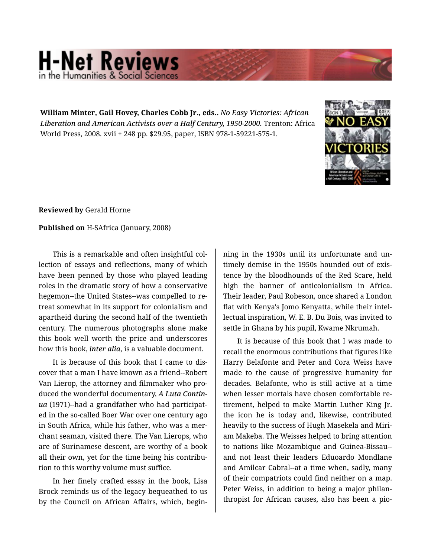## **H-Net Reviews** in the Humanities & Social S

**William Minter, Gail Hovey, Charles Cobb Jr., eds..** *No Easy Victories: African Liberation and American Activists over a Half Century, 1950-2000.* Trenton: Africa World Press, 2008. xvii + 248 pp. \$29.95, paper, ISBN 978-1-59221-575-1.



**Reviewed by** Gerald Horne

## **Published on** H-SAfrica (January, 2008)

This is a remarkable and often insightful col‐ lection of essays and reflections, many of which have been penned by those who played leading roles in the dramatic story of how a conservative hegemon--the United States--was compelled to re‐ treat somewhat in its support for colonialism and apartheid during the second half of the twentieth century. The numerous photographs alone make this book well worth the price and underscores how this book, *inter alia*, is a valuable document.

It is because of this book that I came to dis‐ cover that a man I have known as a friend--Robert Van Lierop, the attorney and filmmaker who pro‐ duced the wonderful documentary, *A Luta Contin‐ ua* (1971)--had a grandfather who had participat‐ ed in the so-called Boer War over one century ago in South Africa, while his father, who was a mer‐ chant seaman, visited there. The Van Lierops, who are of Surinamese descent, are worthy of a book all their own, yet for the time being his contribution to this worthy volume must suffice.

In her finely crafted essay in the book, Lisa Brock reminds us of the legacy bequeathed to us by the Council on African Affairs, which, begin‐

ning in the 1930s until its unfortunate and un‐ timely demise in the 1950s hounded out of exis‐ tence by the bloodhounds of the Red Scare, held high the banner of anticolonialism in Africa. Their leader, Paul Robeson, once shared a London flat with Kenya's Jomo Kenyatta, while their intel‐ lectual inspiration, W. E. B. Du Bois, was invited to settle in Ghana by his pupil, Kwame Nkrumah.

It is because of this book that I was made to recall the enormous contributions that figures like Harry Belafonte and Peter and Cora Weiss have made to the cause of progressive humanity for decades. Belafonte, who is still active at a time when lesser mortals have chosen comfortable re‐ tirement, helped to make Martin Luther King Jr. the icon he is today and, likewise, contributed heavily to the success of Hugh Masekela and Miri‐ am Makeba. The Weisses helped to bring attention to nations like Mozambique and Guinea-Bissau- and not least their leaders Eduoardo Mondlane and Amilcar Cabral--at a time when, sadly, many of their compatriots could find neither on a map. Peter Weiss, in addition to being a major philan‐ thropist for African causes, also has been a pio‐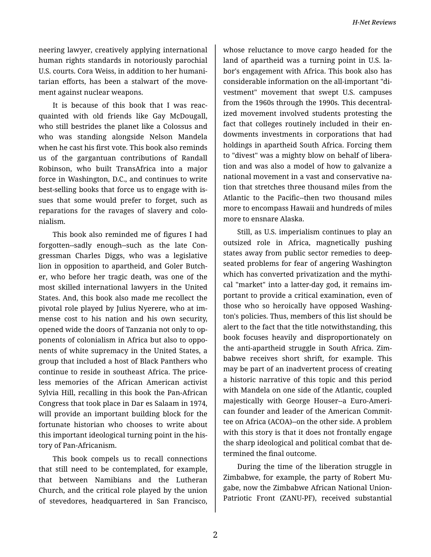neering lawyer, creatively applying international human rights standards in notoriously parochial U.S. courts. Cora Weiss, in addition to her humani‐ tarian efforts, has been a stalwart of the move‐ ment against nuclear weapons.

It is because of this book that I was reac‐ quainted with old friends like Gay McDougall, who still bestrides the planet like a Colossus and who was standing alongside Nelson Mandela when he cast his first vote. This book also reminds us of the gargantuan contributions of Randall Robinson, who built TransAfrica into a major force in Washington, D.C., and continues to write best-selling books that force us to engage with is‐ sues that some would prefer to forget, such as reparations for the ravages of slavery and colo‐ nialism.

This book also reminded me of figures I had forgotten--sadly enough--such as the late Con‐ gressman Charles Diggs, who was a legislative lion in opposition to apartheid, and Goler Butch‐ er, who before her tragic death, was one of the most skilled international lawyers in the United States. And, this book also made me recollect the pivotal role played by Julius Nyerere, who at im‐ mense cost to his nation and his own security, opened wide the doors of Tanzania not only to op‐ ponents of colonialism in Africa but also to oppo‐ nents of white supremacy in the United States, a group that included a host of Black Panthers who continue to reside in southeast Africa. The price‐ less memories of the African American activist Sylvia Hill, recalling in this book the Pan-African Congress that took place in Dar es Salaam in 1974, will provide an important building block for the fortunate historian who chooses to write about this important ideological turning point in the his‐ tory of Pan-Africanism.

This book compels us to recall connections that still need to be contemplated, for example, that between Namibians and the Lutheran Church, and the critical role played by the union of stevedores, headquartered in San Francisco,

whose reluctance to move cargo headed for the land of apartheid was a turning point in U.S. la‐ bor's engagement with Africa. This book also has considerable information on the all-important "di‐ vestment" movement that swept U.S. campuses from the 1960s through the 1990s. This decentral‐ ized movement involved students protesting the fact that colleges routinely included in their endowments investments in corporations that had holdings in apartheid South Africa. Forcing them to "divest" was a mighty blow on behalf of libera‐ tion and was also a model of how to galvanize a national movement in a vast and conservative na‐ tion that stretches three thousand miles from the Atlantic to the Pacific--then two thousand miles more to encompass Hawaii and hundreds of miles more to ensnare Alaska.

Still, as U.S. imperialism continues to play an outsized role in Africa, magnetically pushing states away from public sector remedies to deepseated problems for fear of angering Washington which has converted privatization and the mythical "market" into a latter-day god, it remains im‐ portant to provide a critical examination, even of those who so heroically have opposed Washing‐ ton's policies. Thus, members of this list should be alert to the fact that the title notwithstanding, this book focuses heavily and disproportionately on the anti-apartheid struggle in South Africa. Zim‐ babwe receives short shrift, for example. This may be part of an inadvertent process of creating a historic narrative of this topic and this period with Mandela on one side of the Atlantic, coupled majestically with George Houser--a Euro-Ameri‐ can founder and leader of the American Commit‐ tee on Africa (ACOA)--on the other side. A problem with this story is that it does not frontally engage the sharp ideological and political combat that de‐ termined the final outcome.

During the time of the liberation struggle in Zimbabwe, for example, the party of Robert Mu‐ gabe, now the Zimbabwe African National Union-Patriotic Front (ZANU-PF), received substantial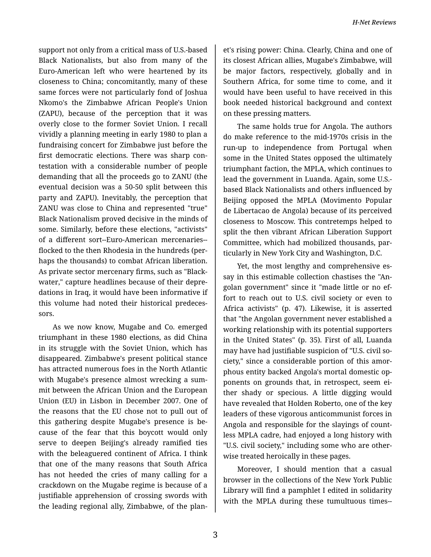support not only from a critical mass of U.S.-based Black Nationalists, but also from many of the Euro-American left who were heartened by its closeness to China; concomitantly, many of these same forces were not particularly fond of Joshua Nkomo's the Zimbabwe African People's Union (ZAPU), because of the perception that it was overly close to the former Soviet Union. I recall vividly a planning meeting in early 1980 to plan a fundraising concert for Zimbabwe just before the first democratic elections. There was sharp con‐ testation with a considerable number of people demanding that all the proceeds go to ZANU (the eventual decision was a 50-50 split between this party and ZAPU). Inevitably, the perception that ZANU was close to China and represented "true" Black Nationalism proved decisive in the minds of some. Similarly, before these elections, "activists" of a different sort--Euro-American mercenaries- flocked to the then Rhodesia in the hundreds (per‐ haps the thousands) to combat African liberation. As private sector mercenary firms, such as "Black‐ water," capture headlines because of their depre‐ dations in Iraq, it would have been informative if this volume had noted their historical predeces‐ sors.

As we now know, Mugabe and Co. emerged triumphant in these 1980 elections, as did China in its struggle with the Soviet Union, which has disappeared. Zimbabwe's present political stance has attracted numerous foes in the North Atlantic with Mugabe's presence almost wrecking a sum‐ mit between the African Union and the European Union (EU) in Lisbon in December 2007. One of the reasons that the EU chose not to pull out of this gathering despite Mugabe's presence is be‐ cause of the fear that this boycott would only serve to deepen Beijing's already ramified ties with the beleaguered continent of Africa. I think that one of the many reasons that South Africa has not heeded the cries of many calling for a crackdown on the Mugabe regime is because of a justifiable apprehension of crossing swords with the leading regional ally, Zimbabwe, of the plan‐

et's rising power: China. Clearly, China and one of its closest African allies, Mugabe's Zimbabwe, will be major factors, respectively, globally and in Southern Africa, for some time to come, and it would have been useful to have received in this book needed historical background and context on these pressing matters.

The same holds true for Angola. The authors do make reference to the mid-1970s crisis in the run-up to independence from Portugal when some in the United States opposed the ultimately triumphant faction, the MPLA, which continues to lead the government in Luanda. Again, some U.S. based Black Nationalists and others influenced by Beijing opposed the MPLA (Movimento Popular de Libertacao de Angola) because of its perceived closeness to Moscow. This contretemps helped to split the then vibrant African Liberation Support Committee, which had mobilized thousands, par‐ ticularly in New York City and Washington, D.C.

Yet, the most lengthy and comprehensive essay in this estimable collection chastises the "An‐ golan government" since it "made little or no ef‐ fort to reach out to U.S. civil society or even to Africa activists" (p. 47). Likewise, it is asserted that "the Angolan government never established a working relationship with its potential supporters in the United States" (p. 35). First of all, Luanda may have had justifiable suspicion of "U.S. civil so‐ ciety," since a considerable portion of this amor‐ phous entity backed Angola's mortal domestic op‐ ponents on grounds that, in retrospect, seem ei‐ ther shady or specious. A little digging would have revealed that Holden Roberto, one of the key leaders of these vigorous anticommunist forces in Angola and responsible for the slayings of count‐ less MPLA cadre, had enjoyed a long history with "U.S. civil society," including some who are other‐ wise treated heroically in these pages.

Moreover, I should mention that a casual browser in the collections of the New York Public Library will find a pamphlet I edited in solidarity with the MPLA during these tumultuous times--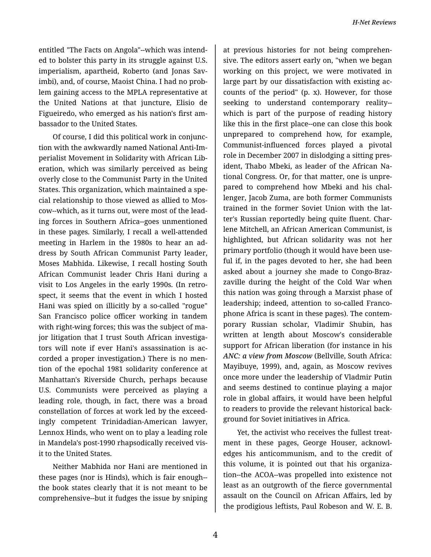entitled "The Facts on Angola"--which was intend‐ ed to bolster this party in its struggle against U.S. imperialism, apartheid, Roberto (and Jonas Sav‐ imbi), and, of course, Maoist China. I had no problem gaining access to the MPLA representative at the United Nations at that juncture, Elisio de Figueiredo, who emerged as his nation's first am‐ bassador to the United States.

Of course, I did this political work in conjunc‐ tion with the awkwardly named National Anti-Im‐ perialist Movement in Solidarity with African Lib‐ eration, which was similarly perceived as being overly close to the Communist Party in the United States. This organization, which maintained a spe‐ cial relationship to those viewed as allied to Mos‐ cow--which, as it turns out, were most of the lead‐ ing forces in Southern Africa--goes unmentioned in these pages. Similarly, I recall a well-attended meeting in Harlem in the 1980s to hear an ad‐ dress by South African Communist Party leader, Moses Mabhida. Likewise, I recall hosting South African Communist leader Chris Hani during a visit to Los Angeles in the early 1990s. (In retro‐ spect, it seems that the event in which I hosted Hani was spied on illicitly by a so-called "rogue" San Francisco police officer working in tandem with right-wing forces; this was the subject of major litigation that I trust South African investigators will note if ever Hani's assassination is ac‐ corded a proper investigation.) There is no men‐ tion of the epochal 1981 solidarity conference at Manhattan's Riverside Church, perhaps because U.S. Communists were perceived as playing a leading role, though, in fact, there was a broad constellation of forces at work led by the exceed‐ ingly competent Trinidadian-American lawyer, Lennox Hinds, who went on to play a leading role in Mandela's post-1990 rhapsodically received vis‐ it to the United States.

Neither Mabhida nor Hani are mentioned in these pages (nor is Hinds), which is fair enough- the book states clearly that it is not meant to be comprehensive--but it fudges the issue by sniping

at previous histories for not being comprehen‐ sive. The editors assert early on, "when we began working on this project, we were motivated in large part by our dissatisfaction with existing ac‐ counts of the period" (p. x). However, for those seeking to understand contemporary reality- which is part of the purpose of reading history like this in the first place--one can close this book unprepared to comprehend how, for example, Communist-influenced forces played a pivotal role in December 2007 in dislodging a sitting pres‐ ident, Thabo Mbeki, as leader of the African Na‐ tional Congress. Or, for that matter, one is unpre‐ pared to comprehend how Mbeki and his chal‐ lenger, Jacob Zuma, are both former Communists trained in the former Soviet Union with the lat‐ ter's Russian reportedly being quite fluent. Char‐ lene Mitchell, an African American Communist, is highlighted, but African solidarity was not her primary portfolio (though it would have been use‐ ful if, in the pages devoted to her, she had been asked about a journey she made to Congo-Braz‐ zaville during the height of the Cold War when this nation was going through a Marxist phase of leadership; indeed, attention to so-called Franco‐ phone Africa is scant in these pages). The contem‐ porary Russian scholar, Vladimir Shubin, has written at length about Moscow's considerable support for African liberation (for instance in his *ANC: a view from Moscow* (Bellville, South Africa: Mayibuye, 1999), and, again, as Moscow revives once more under the leadership of Vladmir Putin and seems destined to continue playing a major role in global affairs, it would have been helpful to readers to provide the relevant historical back‐ ground for Soviet initiatives in Africa.

Yet, the activist who receives the fullest treat‐ ment in these pages, George Houser, acknowledges his anticommunism, and to the credit of this volume, it is pointed out that his organiza‐ tion--the ACOA--was propelled into existence not least as an outgrowth of the fierce governmental assault on the Council on African Affairs, led by the prodigious leftists, Paul Robeson and W. E. B.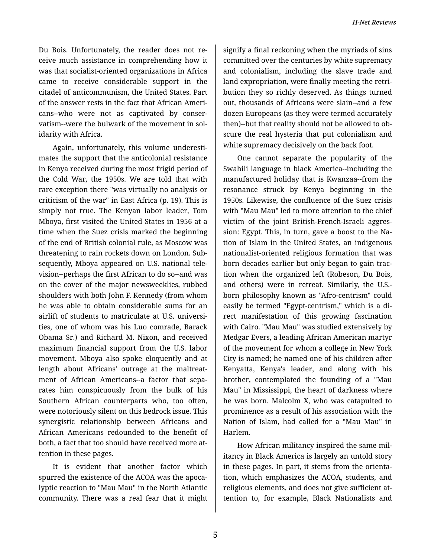Du Bois. Unfortunately, the reader does not re‐ ceive much assistance in comprehending how it was that socialist-oriented organizations in Africa came to receive considerable support in the citadel of anticommunism, the United States. Part of the answer rests in the fact that African Ameri‐ cans--who were not as captivated by conser‐ vatism--were the bulwark of the movement in sol‐ idarity with Africa.

Again, unfortunately, this volume underesti‐ mates the support that the anticolonial resistance in Kenya received during the most frigid period of the Cold War, the 1950s. We are told that with rare exception there "was virtually no analysis or criticism of the war" in East Africa (p. 19). This is simply not true. The Kenyan labor leader, Tom Mboya, first visited the United States in 1956 at a time when the Suez crisis marked the beginning of the end of British colonial rule, as Moscow was threatening to rain rockets down on London. Sub‐ sequently, Mboya appeared on U.S. national tele‐ vision--perhaps the first African to do so--and was on the cover of the major newsweeklies, rubbed shoulders with both John F. Kennedy (from whom he was able to obtain considerable sums for an airlift of students to matriculate at U.S. universi‐ ties, one of whom was his Luo comrade, Barack Obama Sr.) and Richard M. Nixon, and received maximum financial support from the U.S. labor movement. Mboya also spoke eloquently and at length about Africans' outrage at the maltreat‐ ment of African Americans--a factor that sepa‐ rates him conspicuously from the bulk of his Southern African counterparts who, too often, were notoriously silent on this bedrock issue. This synergistic relationship between Africans and African Americans redounded to the benefit of both, a fact that too should have received more at‐ tention in these pages.

It is evident that another factor which spurred the existence of the ACOA was the apoca‐ lyptic reaction to "Mau Mau" in the North Atlantic community. There was a real fear that it might

signify a final reckoning when the myriads of sins committed over the centuries by white supremacy and colonialism, including the slave trade and land expropriation, were finally meeting the retri‐ bution they so richly deserved. As things turned out, thousands of Africans were slain--and a few dozen Europeans (as they were termed accurately then)--but that reality should not be allowed to ob‐ scure the real hysteria that put colonialism and white supremacy decisively on the back foot.

One cannot separate the popularity of the Swahili language in black America--including the manufactured holiday that is Kwanzaa--from the resonance struck by Kenya beginning in the 1950s. Likewise, the confluence of the Suez crisis with "Mau Mau" led to more attention to the chief victim of the joint British-French-Israeli aggres‐ sion: Egypt. This, in turn, gave a boost to the Na‐ tion of Islam in the United States, an indigenous nationalist-oriented religious formation that was born decades earlier but only began to gain trac‐ tion when the organized left (Robeson, Du Bois, and others) were in retreat. Similarly, the U.S. born philosophy known as "Afro-centrism" could easily be termed "Egypt-centrism," which is a di‐ rect manifestation of this growing fascination with Cairo. "Mau Mau" was studied extensively by Medgar Evers, a leading African American martyr of the movement for whom a college in New York City is named; he named one of his children after Kenyatta, Kenya's leader, and along with his brother, contemplated the founding of a "Mau Mau" in Mississippi, the heart of darkness where he was born. Malcolm X, who was catapulted to prominence as a result of his association with the Nation of Islam, had called for a "Mau Mau" in Harlem.

How African militancy inspired the same mil‐ itancy in Black America is largely an untold story in these pages. In part, it stems from the orienta‐ tion, which emphasizes the ACOA, students, and religious elements, and does not give sufficient at‐ tention to, for example, Black Nationalists and

5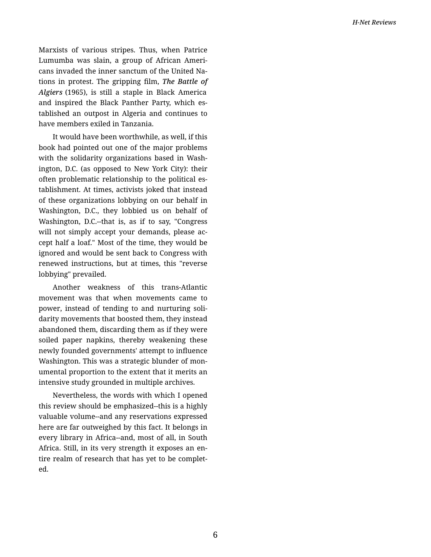Marxists of various stripes. Thus, when Patrice Lumumba was slain, a group of African Ameri‐ cans invaded the inner sanctum of the United Na‐ tions in protest. The gripping film, *The Battle of Algiers* (1965), is still a staple in Black America and inspired the Black Panther Party, which es‐ tablished an outpost in Algeria and continues to have members exiled in Tanzania.

It would have been worthwhile, as well, if this book had pointed out one of the major problems with the solidarity organizations based in Washington, D.C. (as opposed to New York City): their often problematic relationship to the political es‐ tablishment. At times, activists joked that instead of these organizations lobbying on our behalf in Washington, D.C., they lobbied us on behalf of Washington, D.C.--that is, as if to say, "Congress will not simply accept your demands, please accept half a loaf." Most of the time, they would be ignored and would be sent back to Congress with renewed instructions, but at times, this "reverse lobbying" prevailed.

Another weakness of this trans-Atlantic movement was that when movements came to power, instead of tending to and nurturing soli‐ darity movements that boosted them, they instead abandoned them, discarding them as if they were soiled paper napkins, thereby weakening these newly founded governments' attempt to influence Washington. This was a strategic blunder of mon‐ umental proportion to the extent that it merits an intensive study grounded in multiple archives.

Nevertheless, the words with which I opened this review should be emphasized--this is a highly valuable volume--and any reservations expressed here are far outweighed by this fact. It belongs in every library in Africa--and, most of all, in South Africa. Still, in its very strength it exposes an en‐ tire realm of research that has yet to be complet‐ ed.